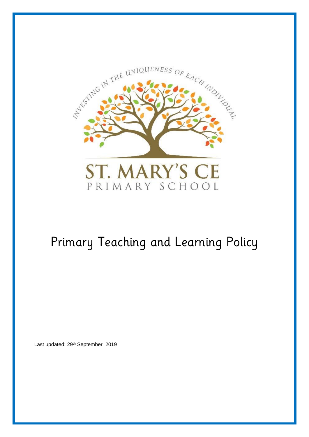

# Primary Teaching and Learning Policy

Last updated: 29<sup>th</sup> September 2019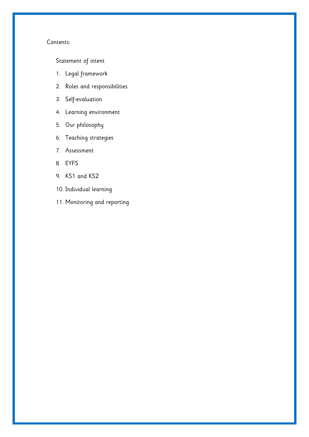## Contents:

[Statement of intent](#page-2-0)

- 1. [Legal framework](#page-4-0)
- 2. [Roles and responsibilities](#page-4-1)
- 3. [Self-evaluation](#page-6-0)
- 4. [Learning environment](#page-7-0)
- 5. [Our philosophy](#page-8-0)
- 6. [Teaching strategies](#page-10-0)
- 7. [Assessment](#page-11-0)
- 8. [EYFS](#page-13-0)
- 9. [KS1 and KS2](#page-14-0)
- 10. [Individual learning](#page-17-0)
- 11. [Monitoring and reporting](#page-17-1)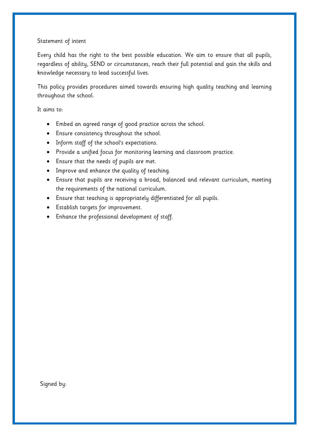## <span id="page-2-0"></span>Statement of intent

Every child has the right to the best possible education. We aim to ensure that all pupils, regardless of ability, SEND or circumstances, reach their full potential and gain the skills and knowledge necessary to lead successful lives.

This policy provides procedures aimed towards ensuring high quality teaching and learning throughout the school.

It aims to:

- Embed an agreed range of good practice across the school.
- Ensure consistency throughout the school.
- Inform staff of the school's expectations.
- Provide a unified focus for monitoring learning and classroom practice.
- Ensure that the needs of pupils are met.
- Improve and enhance the quality of teaching.
- Ensure that pupils are receiving a broad, balanced and relevant curriculum, meeting the requirements of the national curriculum.
- Ensure that teaching is appropriately differentiated for all pupils.
- Establish targets for improvement.
- Enhance the professional development of staff.

Signed by: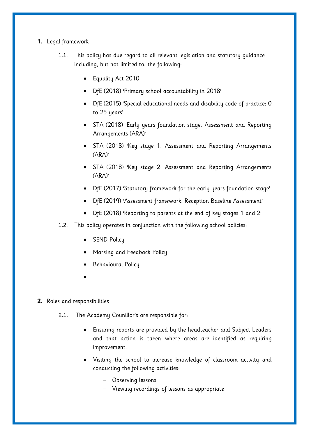# <span id="page-4-0"></span>**1.** Legal framework

- 1.1. This policy has due regard to all relevant legislation and statutory guidance including, but not limited to, the following:
	- Equality Act 2010
	- DfE (2018) 'Primary school accountability in 2018'
	- DfE (2015) 'Special educational needs and disability code of practice: 0 to 25 years'
	- STA (2018) 'Early years foundation stage: Assessment and Reporting Arrangements (ARA)'
	- STA (2018) 'Key stage 1: Assessment and Reporting Arrangements (ARA)'
	- STA (2018) 'Key stage 2: Assessment and Reporting Arrangements (ARA)'
	- DfE (2017) 'Statutory framework for the early years foundation stage'
	- DfE (2019) 'Assessment framework: Reception Baseline Assessment'
	- DfE (2018) 'Reporting to parents at the end of key stages 1 and 2'
- 1.2. This policy operates in conjunction with the following school policies:
	- SEND Policy
	- Marking and Feedback Policy
	- Behavioural Policy
	- $\bullet$

## <span id="page-4-1"></span>**2.** Roles and responsibilities

- 2.1. The Academy Counillor's are responsible for:
	- Ensuring reports are provided by the headteacher and Subject Leaders and that action is taken where areas are identified as requiring improvement.
	- Visiting the school to increase knowledge of classroom activity and conducting the following activities:
		- Observing lessons
		- Viewing recordings of lessons as appropriate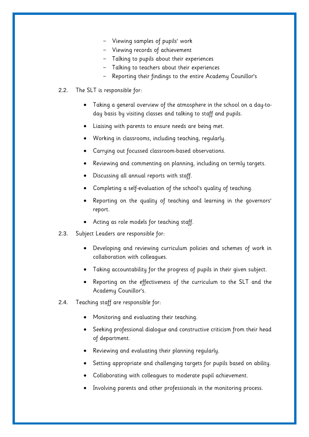- Viewing samples of pupils' work
- Viewing records of achievement
- Talking to pupils about their experiences
- Talking to teachers about their experiences
- Reporting their findings to the entire Academy Counillor's

## 2.2. The SLT is responsible for:

- Taking a general overview of the atmosphere in the school on a day-today basis by visiting classes and talking to staff and pupils.
- Liaising with parents to ensure needs are being met.
- Working in classrooms, including teaching, regularly.
- Carrying out focussed classroom-based observations.
- Reviewing and commenting on planning, including on termly targets.
- Discussing all annual reports with staff.
- Completing a self-evaluation of the school's quality of teaching.
- Reporting on the quality of teaching and learning in the governors' report.
- Acting as role models for teaching staff.
- 2.3. Subject Leaders are responsible for:
	- Developing and reviewing curriculum policies and schemes of work in collaboration with colleagues.
	- Taking accountability for the progress of pupils in their given subject.
	- Reporting on the effectiveness of the curriculum to the SLT and the Academy Counillor's.
- 2.4. Teaching staff are responsible for:
	- Monitoring and evaluating their teaching.
	- Seeking professional dialogue and constructive criticism from their head of department.
	- Reviewing and evaluating their planning regularly.
	- Setting appropriate and challenging targets for pupils based on ability.
	- Collaborating with colleagues to moderate pupil achievement.
	- Involving parents and other professionals in the monitoring process.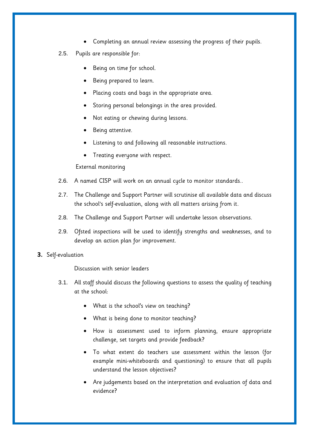- Completing an annual review assessing the progress of their pupils.
- 2.5. Pupils are responsible for:
	- Being on time for school.
	- Being prepared to learn.
	- Placing coats and bags in the appropriate area.
	- Storing personal belongings in the area provided.
	- Not eating or chewing during lessons.
	- Being attentive.
	- Listening to and following all reasonable instructions.
	- Treating everyone with respect.

External monitoring

- 2.6. A named CISP will work on an annual cycle to monitor standards..
- 2.7. The Challenge and Support Partner will scrutinise all available data and discuss the school's self-evaluation, along with all matters arising from it.
- 2.8. The Challenge and Support Partner will undertake lesson observations.
- 2.9. Ofsted inspections will be used to identify strengths and weaknesses, and to develop an action plan for improvement.
- <span id="page-6-0"></span>**3.** Self-evaluation

Discussion with senior leaders

- 3.1. All staff should discuss the following questions to assess the quality of teaching at the school:
	- What is the school's view on teaching?
	- What is being done to monitor teaching?
	- How is assessment used to inform planning, ensure appropriate challenge, set targets and provide feedback?
	- To what extent do teachers use assessment within the lesson (for example mini-whiteboards and questioning) to ensure that all pupils understand the lesson objectives?
	- Are judgements based on the interpretation and evaluation of data and evidence?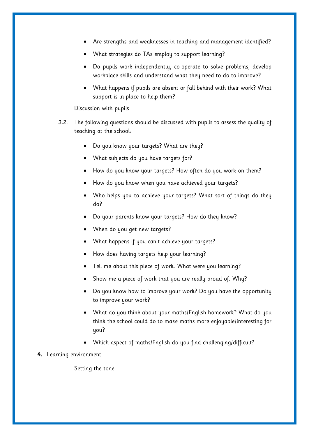- Are strengths and weaknesses in teaching and management identified?
- What strategies do TAs employ to support learning?
- Do pupils work independently, co-operate to solve problems, develop workplace skills and understand what they need to do to improve?
- What happens if pupils are absent or fall behind with their work? What support is in place to help them?

## Discussion with pupils

- 3.2. The following questions should be discussed with pupils to assess the quality of teaching at the school:
	- Do you know your targets? What are they?
	- What subjects do you have targets for?
	- How do you know your targets? How often do you work on them?
	- How do you know when you have achieved your targets?
	- Who helps you to achieve your targets? What sort of things do they do?
	- Do your parents know your targets? How do they know?
	- When do you get new targets?
	- What happens if you can't achieve your targets?
	- How does having targets help your learning?
	- Tell me about this piece of work. What were you learning?
	- Show me a piece of work that you are really proud of. Why?
	- Do you know how to improve your work? Do you have the opportunity to improve your work?
	- What do you think about your maths/English homework? What do you think the school could do to make maths more enjoyable/interesting for you?
	- Which aspect of maths/English do you find challenging/difficult?
- <span id="page-7-0"></span>**4.** Learning environment

Setting the tone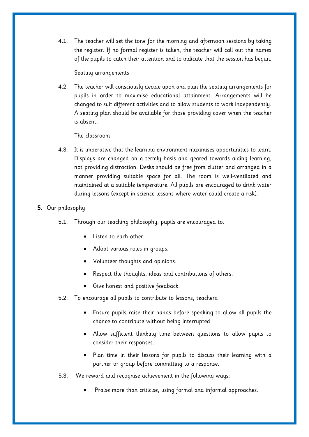4.1. The teacher will set the tone for the morning and afternoon sessions by taking the register. If no formal register is taken, the teacher will call out the names of the pupils to catch their attention and to indicate that the session has begun.

Seating arrangements

4.2. The teacher will consciously decide upon and plan the seating arrangements for pupils in order to maximise educational attainment. Arrangements will be changed to suit different activities and to allow students to work independently. A seating plan should be available for those providing cover when the teacher is absent.

## The classroom

4.3. It is imperative that the learning environment maximises opportunities to learn. Displays are changed on a termly basis and geared towards aiding learning, not providing distraction. Desks should be free from clutter and arranged in a manner providing suitable space for all. The room is well-ventilated and maintained at a suitable temperature. All pupils are encouraged to drink water during lessons (except in science lessons where water could create a risk).

## <span id="page-8-0"></span>**5.** Our philosophy

- 5.1. Through our teaching philosophy, pupils are encouraged to:
	- Listen to each other.
	- Adopt various roles in groups.
	- Volunteer thoughts and opinions.
	- Respect the thoughts, ideas and contributions of others.
	- Give honest and positive feedback.
- 5.2. To encourage all pupils to contribute to lessons, teachers:
	- Ensure pupils raise their hands before speaking to allow all pupils the chance to contribute without being interrupted.
	- Allow sufficient thinking time between questions to allow pupils to consider their responses.
	- Plan time in their lessons for pupils to discuss their learning with a partner or group before committing to a response.
- 5.3. We reward and recognise achievement in the following ways:
	- Praise more than criticise, using formal and informal approaches.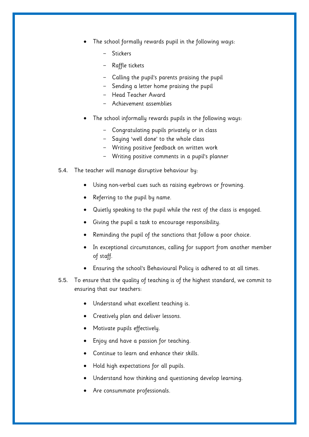- The school formally rewards pupil in the following ways:
	- Stickers
	- Raffle tickets
	- Calling the pupil's parents praising the pupil
	- Sending a letter home praising the pupil
	- Head Teacher Award
	- Achievement assemblies
- The school informally rewards pupils in the following ways:
	- Congratulating pupils privately or in class
	- Saying 'well done' to the whole class
	- Writing positive feedback on written work
	- Writing positive comments in a pupil's planner
- 5.4. The teacher will manage disruptive behaviour by:
	- Using non-verbal cues such as raising eyebrows or frowning.
	- Referring to the pupil by name.
	- Quietly speaking to the pupil while the rest of the class is engaged.
	- Giving the pupil a task to encourage responsibility.
	- Reminding the pupil of the sanctions that follow a poor choice.
	- In exceptional circumstances, calling for support from another member of staff.
	- Ensuring the school's Behavioural Policy is adhered to at all times.
- 5.5. To ensure that the quality of teaching is of the highest standard, we commit to ensuring that our teachers:
	- Understand what excellent teaching is.
	- Creatively plan and deliver lessons.
	- Motivate pupils effectively.
	- Enjoy and have a passion for teaching.
	- Continue to learn and enhance their skills.
	- Hold high expectations for all pupils.
	- Understand how thinking and questioning develop learning.
	- Are consummate professionals.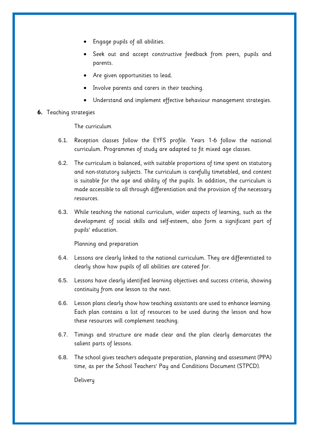- Engage pupils of all abilities.
- Seek out and accept constructive feedback from peers, pupils and parents.
- Are given opportunities to lead.
- Involve parents and carers in their teaching.
- Understand and implement effective behaviour management strategies.
- <span id="page-10-0"></span>**6.** Teaching strategies

The curriculum

- 6.1. Reception classes follow the EYFS profile. Years 1-6 follow the national curriculum. Programmes of study are adapted to fit mixed age classes.
- 6.2. The curriculum is balanced, with suitable proportions of time spent on statutory and non-statutory subjects. The curriculum is carefully timetabled, and content is suitable for the age and ability of the pupils. In addition, the curriculum is made accessible to all through differentiation and the provision of the necessary resources.
- 6.3. While teaching the national curriculum, wider aspects of learning, such as the development of social skills and self-esteem, also form a significant part of pupils' education.

Planning and preparation

- 6.4. Lessons are clearly linked to the national curriculum. They are differentiated to clearly show how pupils of all abilities are catered for.
- 6.5. Lessons have clearly identified learning objectives and success criteria, showing continuity from one lesson to the next.
- 6.6. Lesson plans clearly show how teaching assistants are used to enhance learning. Each plan contains a list of resources to be used during the lesson and how these resources will complement teaching.
- 6.7. Timings and structure are made clear and the plan clearly demarcates the salient parts of lessons.
- 6.8. The school gives teachers adequate preparation, planning and assessment (PPA) time, as per the School Teachers' Pay and Conditions Document (STPCD).

**Delivery**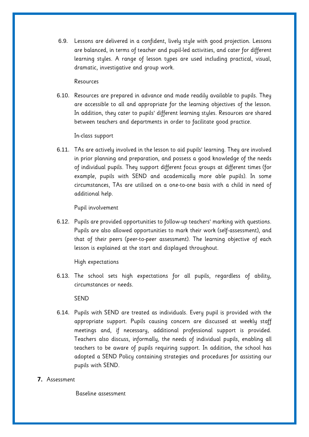6.9. Lessons are delivered in a confident, lively style with good projection. Lessons are balanced, in terms of teacher and pupil-led activities, and cater for different learning styles. A range of lesson types are used including practical, visual, dramatic, investigative and group work.

#### Resources

6.10. Resources are prepared in advance and made readily available to pupils. They are accessible to all and appropriate for the learning objectives of the lesson. In addition, they cater to pupils' different learning styles. Resources are shared between teachers and departments in order to facilitate good practice.

### In-class support

6.11. TAs are actively involved in the lesson to aid pupils' learning. They are involved in prior planning and preparation, and possess a good knowledge of the needs of individual pupils. They support different focus groups at different times (for example, pupils with SEND and academically more able pupils). In some circumstances, TAs are utilised on a one-to-one basis with a child in need of additional help.

Pupil involvement

6.12. Pupils are provided opportunities to follow-up teachers' marking with questions. Pupils are also allowed opportunities to mark their work (self-assessment), and that of their peers (peer-to-peer assessment). The learning objective of each lesson is explained at the start and displayed throughout.

High expectations

6.13. The school sets high expectations for all pupils, regardless of ability, circumstances or needs.

### SEND

- 6.14. Pupils with SEND are treated as individuals. Every pupil is provided with the appropriate support. Pupils causing concern are discussed at weekly staff meetings and, if necessary, additional professional support is provided. Teachers also discuss, informally, the needs of individual pupils, enabling all teachers to be aware of pupils requiring support. In addition, the school has adopted a SEND Policy containing strategies and procedures for assisting our pupils with SEND.
- <span id="page-11-0"></span>**7.** Assessment

Baseline assessment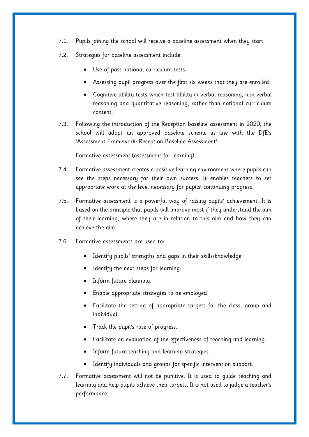- 7.1. Pupils joining the school will receive a baseline assessment when they start.
- 7.2. Strategies for baseline assessment include:
	- Use of past national curriculum tests.
	- Assessing pupil progress over the first six weeks that they are enrolled.
	- Cognitive ability tests which test ability in verbal reasoning, non-verbal reasoning and quantitative reasoning, rather than national curriculum content.
- 7.3. Following the introduction of the Reception baseline assessment in 2020, the school will adopt an approved baseline scheme in line with the DfE's 'Assessment Framework: Reception Baseline Assessment'.

Formative assessment (assessment for learning)

- 7.4. Formative assessment creates a positive learning environment where pupils can see the steps necessary for their own success. It enables teachers to set appropriate work at the level necessary for pupils' continuing progress.
- 7.5. Formative assessment is a powerful way of raising pupils' achievement. It is based on the principle that pupils will improve most if they understand the aim of their learning, where they are in relation to this aim and how they can achieve the aim.
- 7.6. Formative assessments are used to:
	- Identify pupils' strengths and gaps in their skills/knowledge.
	- Identify the next steps for learning.
	- Inform future planning.
	- Enable appropriate strategies to be employed.
	- Facilitate the setting of appropriate targets for the class, group and individual.
	- Track the pupil's rate of progress.
	- Facilitate an evaluation of the effectiveness of teaching and learning.
	- Inform future teaching and learning strategies.
	- Identify individuals and groups for specific intervention support.
- 7.7. Formative assessment will not be punitive. It is used to guide teaching and learning and help pupils achieve their targets. It is not used to judge a teacher's performance.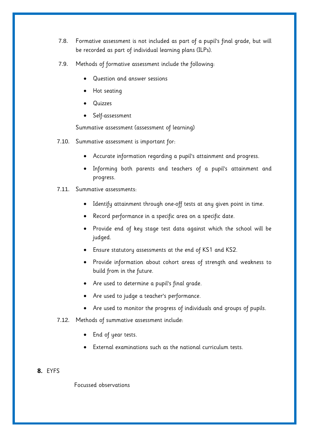- 7.8. Formative assessment is not included as part of a pupil's final grade, but will be recorded as part of individual learning plans (ILPs).
- 7.9. Methods of formative assessment include the following:
	- Question and answer sessions
	- Hot seating
	- Quizzes
	- Self-assessment

Summative assessment (assessment of learning)

- 7.10. Summative assessment is important for:
	- Accurate information regarding a pupil's attainment and progress.
	- Informing both parents and teachers of a pupil's attainment and progress.
- 7.11. Summative assessments:
	- Identify attainment through one-off tests at any given point in time.
	- Record performance in a specific area on a specific date.
	- Provide end of key stage test data against which the school will be judged.
	- Ensure statutory assessments at the end of KS1 and KS2.
	- Provide information about cohort areas of strength and weakness to build from in the future.
	- Are used to determine a pupil's final grade.
	- Are used to judge a teacher's performance.
	- Are used to monitor the progress of individuals and groups of pupils.
- 7.12. Methods of summative assessment include:
	- End of year tests.
	- External examinations such as the national curriculum tests.

## <span id="page-13-0"></span>**8.** EYFS

Focussed observations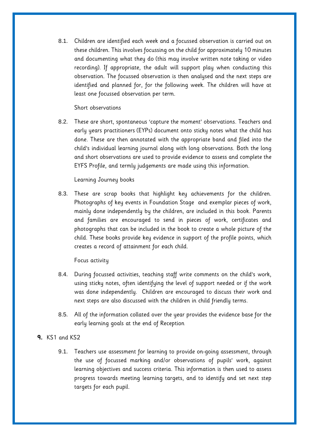8.1. Children are identified each week and a focussed observation is carried out on these children. This involves focussing on the child for approximately 10 minutes and documenting what they do (this may involve written note taking or video recording). If appropriate, the adult will support play when conducting this observation. The focussed observation is then analysed and the next steps are identified and planned for, for the following week. The children will have at least one focussed observation per term.

## Short observations

8.2. These are short, spontaneous 'capture the moment' observations. Teachers and early years practitioners (EYPs) document onto sticky notes what the child has done. These are then annotated with the appropriate band and filed into the child's individual learning journal along with long observations. Both the long and short observations are used to provide evidence to assess and complete the EYFS Profile, and termly judgements are made using this information.

### Learning Journey books

8.3. These are scrap books that highlight key achievements for the children. Photographs of key events in Foundation Stage and exemplar pieces of work, mainly done independently by the children, are included in this book. Parents and families are encouraged to send in pieces of work, certificates and photographs that can be included in the book to create a whole picture of the child. These books provide key evidence in support of the profile points, which creates a record of attainment for each child.

### Focus activity

- 8.4. During focussed activities, teaching staff write comments on the child's work, using sticky notes, often identifying the level of support needed or if the work was done independently. Children are encouraged to discuss their work and next steps are also discussed with the children in child friendly terms.
- 8.5. All of the information collated over the year provides the evidence base for the early learning goals at the end of Reception

# <span id="page-14-0"></span>**9.** KS1 and KS2

9.1. Teachers use assessment for learning to provide on-going assessment, through the use of focussed marking and/or observations of pupils' work, against learning objectives and success criteria. This information is then used to assess progress towards meeting learning targets, and to identify and set next step targets for each pupil.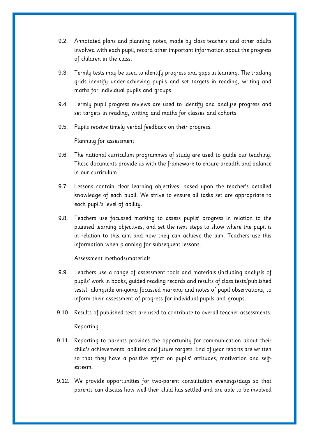- 9.2. Annotated plans and planning notes, made by class teachers and other adults involved with each pupil, record other important information about the progress of children in the class.
- 9.3. Termly tests may be used to identify progress and gaps in learning. The tracking grids identify under-achieving pupils and set targets in reading, writing and maths for individual pupils and groups.
- 9.4. Termly pupil progress reviews are used to identify and analyse progress and set targets in reading, writing and maths for classes and cohorts.
- 9.5. Pupils receive timely verbal feedback on their progress.

Planning for assessment

- 9.6. The national curriculum programmes of study are used to guide our teaching. These documents provide us with the framework to ensure breadth and balance in our curriculum.
- 9.7. Lessons contain clear learning objectives, based upon the teacher's detailed knowledge of each pupil. We strive to ensure all tasks set are appropriate to each pupil's level of ability.
- 9.8. Teachers use focussed marking to assess pupils' progress in relation to the planned learning objectives, and set the next steps to show where the pupil is in relation to this aim and how they can achieve the aim. Teachers use this information when planning for subsequent lessons.

Assessment methods/materials

- 9.9. Teachers use a range of assessment tools and materials (including analysis of pupils' work in books, guided reading records and results of class tests/published tests), alongside on-going focussed marking and notes of pupil observations, to inform their assessment of progress for individual pupils and groups.
- 9.10. Results of published tests are used to contribute to overall teacher assessments.

## Reporting

- 9.11. Reporting to parents provides the opportunity for communication about their child's achievements, abilities and future targets. End of year reports are written so that they have a positive effect on pupils' attitudes, motivation and selfesteem.
- 9.12. We provide opportunities for two-parent consultation evenings/days so that parents can discuss how well their child has settled and are able to be involved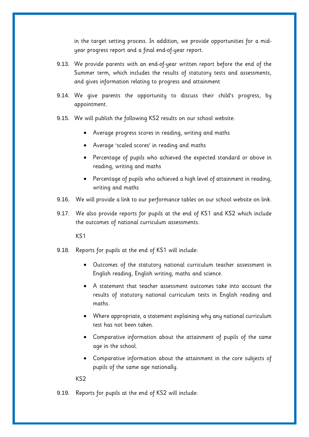in the target setting process. In addition, we provide opportunities for a midyear progress report and a final end-of-year report.

- 9.13. We provide parents with an end-of-year written report before the end of the Summer term, which includes the results of statutory tests and assessments, and gives information relating to progress and attainment
- 9.14. We give parents the opportunity to discuss their child's progress, by appointment.
- 9.15. We will publish the following KS2 results on our school website:
	- Average progress scores in reading, writing and maths
	- Average 'scaled scores' in reading and maths
	- Percentage of pupils who achieved the expected standard or above in reading, writing and maths
	- Percentage of pupils who achieved a high level of attainment in reading, writing and maths
- 9.16. We will provide a link to our performance tables on our school website on link.
- 9.17. We also provide reports for pupils at the end of KS1 and KS2 which include the outcomes of national curriculum assessments.

KS1

- 9.18. Reports for pupils at the end of KS1 will include:
	- Outcomes of the statutory national curriculum teacher assessment in English reading, English writing, maths and science.
	- A statement that teacher assessment outcomes take into account the results of statutory national curriculum tests in English reading and maths.
	- Where appropriate, a statement explaining why any national curriculum test has not been taken.
	- Comparative information about the attainment of pupils of the same age in the school.
	- Comparative information about the attainment in the core subjects of pupils of the same age nationally.

KS2

9.19. Reports for pupils at the end of KS2 will include: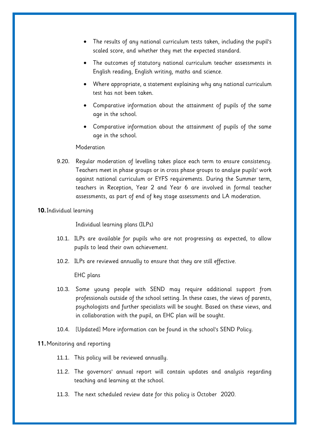- The results of any national curriculum tests taken, including the pupil's scaled score, and whether they met the expected standard.
- The outcomes of statutory national curriculum teacher assessments in English reading, English writing, maths and science.
- Where appropriate, a statement explaining why any national curriculum test has not been taken.
- Comparative information about the attainment of pupils of the same age in the school.
- Comparative information about the attainment of pupils of the same age in the school.

### **Moderation**

9.20. Regular moderation of levelling takes place each term to ensure consistency. Teachers meet in phase groups or in cross phase groups to analyse pupils' work against national curriculum or EYFS requirements. During the Summer term, teachers in Reception, Year 2 and Year 6 are involved in formal teacher assessments, as part of end of key stage assessments and LA moderation.

### <span id="page-17-0"></span>**10.**Individual learning

Individual learning plans (ILPs)

- 10.1. ILPs are available for pupils who are not progressing as expected, to allow pupils to lead their own achievement.
- 10.2. ILPs are reviewed annually to ensure that they are still effective.

### EHC plans

- 10.3. Some young people with SEND may require additional support from professionals outside of the school setting. In these cases, the views of parents, psychologists and further specialists will be sought. Based on these views, and in collaboration with the pupil, an EHC plan will be sought.
- 10.4. [Updated] More information can be found in the school's SEND Policy.

### <span id="page-17-1"></span>**11.**Monitoring and reporting

- 11.1. This policy will be reviewed annually.
- 11.2. The governors' annual report will contain updates and analysis regarding teaching and learning at the school.
- 11.3. The next scheduled review date for this policy is October 2020.